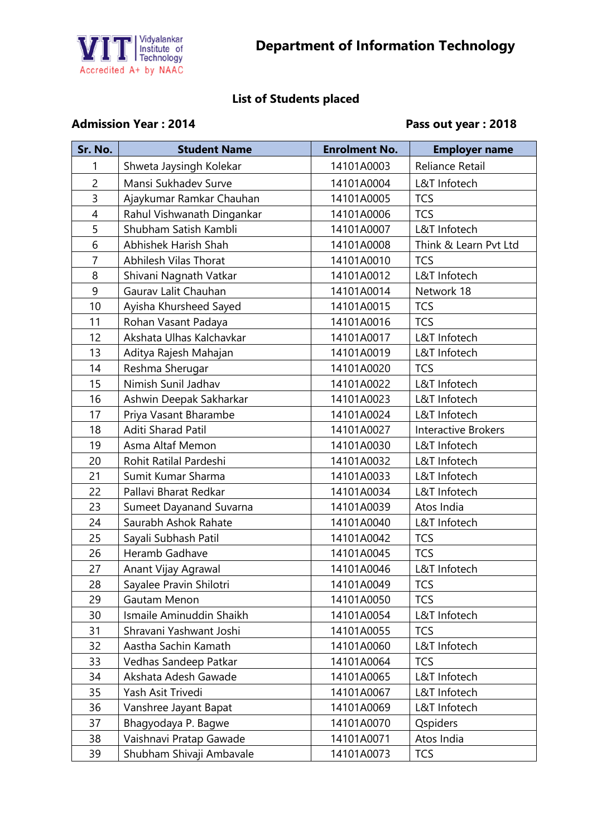

## **List of Students placed**

## Admission Year : 2014 **Pass out year : 2018**

| Sr. No.        | <b>Student Name</b>        | <b>Enrolment No.</b> | <b>Employer name</b>       |
|----------------|----------------------------|----------------------|----------------------------|
| 1              | Shweta Jaysingh Kolekar    | 14101A0003           | Reliance Retail            |
| $\overline{2}$ | Mansi Sukhadev Surve       | 14101A0004           | L&T Infotech               |
| 3              | Ajaykumar Ramkar Chauhan   | 14101A0005           | <b>TCS</b>                 |
| $\overline{4}$ | Rahul Vishwanath Dingankar | 14101A0006           | <b>TCS</b>                 |
| 5              | Shubham Satish Kambli      | 14101A0007           | L&T Infotech               |
| 6              | Abhishek Harish Shah       | 14101A0008           | Think & Learn Pvt Ltd      |
| $\overline{7}$ | Abhilesh Vilas Thorat      | 14101A0010           | <b>TCS</b>                 |
| 8              | Shivani Nagnath Vatkar     | 14101A0012           | L&T Infotech               |
| 9              | Gaurav Lalit Chauhan       | 14101A0014           | Network 18                 |
| 10             | Ayisha Khursheed Sayed     | 14101A0015           | <b>TCS</b>                 |
| 11             | Rohan Vasant Padaya        | 14101A0016           | <b>TCS</b>                 |
| 12             | Akshata Ulhas Kalchavkar   | 14101A0017           | L&T Infotech               |
| 13             | Aditya Rajesh Mahajan      | 14101A0019           | L&T Infotech               |
| 14             | Reshma Sherugar            | 14101A0020           | <b>TCS</b>                 |
| 15             | Nimish Sunil Jadhav        | 14101A0022           | L&T Infotech               |
| 16             | Ashwin Deepak Sakharkar    | 14101A0023           | L&T Infotech               |
| 17             | Priya Vasant Bharambe      | 14101A0024           | L&T Infotech               |
| 18             | Aditi Sharad Patil         | 14101A0027           | <b>Interactive Brokers</b> |
| 19             | Asma Altaf Memon           | 14101A0030           | L&T Infotech               |
| 20             | Rohit Ratilal Pardeshi     | 14101A0032           | L&T Infotech               |
| 21             | Sumit Kumar Sharma         | 14101A0033           | L&T Infotech               |
| 22             | Pallavi Bharat Redkar      | 14101A0034           | L&T Infotech               |
| 23             | Sumeet Dayanand Suvarna    | 14101A0039           | Atos India                 |
| 24             | Saurabh Ashok Rahate       | 14101A0040           | L&T Infotech               |
| 25             | Sayali Subhash Patil       | 14101A0042           | <b>TCS</b>                 |
| 26             | Heramb Gadhave             | 14101A0045           | <b>TCS</b>                 |
| 27             | Anant Vijay Agrawal        | 14101A0046           | L&T Infotech               |
| 28             | Sayalee Pravin Shilotri    | 14101A0049           | <b>TCS</b>                 |
| 29             | Gautam Menon               | 14101A0050           | <b>TCS</b>                 |
| 30             | Ismaile Aminuddin Shaikh   | 14101A0054           | L&T Infotech               |
| 31             | Shravani Yashwant Joshi    | 14101A0055           | <b>TCS</b>                 |
| 32             | Aastha Sachin Kamath       | 14101A0060           | L&T Infotech               |
| 33             | Vedhas Sandeep Patkar      | 14101A0064           | <b>TCS</b>                 |
| 34             | Akshata Adesh Gawade       | 14101A0065           | L&T Infotech               |
| 35             | Yash Asit Trivedi          | 14101A0067           | L&T Infotech               |
| 36             | Vanshree Jayant Bapat      | 14101A0069           | L&T Infotech               |
| 37             | Bhagyodaya P. Bagwe        | 14101A0070           | Qspiders                   |
| 38             | Vaishnavi Pratap Gawade    | 14101A0071           | Atos India                 |
| 39             | Shubham Shivaji Ambavale   | 14101A0073           | <b>TCS</b>                 |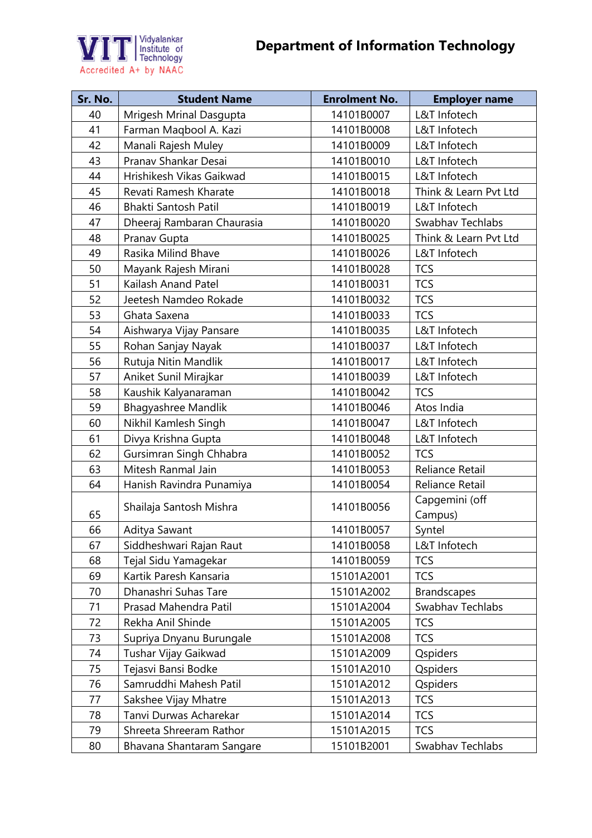

| Sr. No. | <b>Student Name</b>         | <b>Enrolment No.</b> | <b>Employer name</b>  |
|---------|-----------------------------|----------------------|-----------------------|
| 40      | Mrigesh Mrinal Dasgupta     | 14101B0007           | L&T Infotech          |
| 41      | Farman Maqbool A. Kazi      | 14101B0008           | L&T Infotech          |
| 42      | Manali Rajesh Muley         | 14101B0009           | L&T Infotech          |
| 43      | Pranav Shankar Desai        | 14101B0010           | L&T Infotech          |
| 44      | Hrishikesh Vikas Gaikwad    | 14101B0015           | L&T Infotech          |
| 45      | Revati Ramesh Kharate       | 14101B0018           | Think & Learn Pvt Ltd |
| 46      | <b>Bhakti Santosh Patil</b> | 14101B0019           | L&T Infotech          |
| 47      | Dheeraj Rambaran Chaurasia  | 14101B0020           | Swabhav Techlabs      |
| 48      | Pranav Gupta                | 14101B0025           | Think & Learn Pvt Ltd |
| 49      | Rasika Milind Bhave         | 14101B0026           | L&T Infotech          |
| 50      | Mayank Rajesh Mirani        | 14101B0028           | <b>TCS</b>            |
| 51      | Kailash Anand Patel         | 14101B0031           | <b>TCS</b>            |
| 52      | Jeetesh Namdeo Rokade       | 14101B0032           | <b>TCS</b>            |
| 53      | Ghata Saxena                | 14101B0033           | <b>TCS</b>            |
| 54      | Aishwarya Vijay Pansare     | 14101B0035           | L&T Infotech          |
| 55      | Rohan Sanjay Nayak          | 14101B0037           | L&T Infotech          |
| 56      | Rutuja Nitin Mandlik        | 14101B0017           | L&T Infotech          |
| 57      | Aniket Sunil Mirajkar       | 14101B0039           | L&T Infotech          |
| 58      | Kaushik Kalyanaraman        | 14101B0042           | <b>TCS</b>            |
| 59      | Bhagyashree Mandlik         | 14101B0046           | Atos India            |
| 60      | Nikhil Kamlesh Singh        | 14101B0047           | L&T Infotech          |
| 61      | Divya Krishna Gupta         | 14101B0048           | L&T Infotech          |
| 62      | Gursimran Singh Chhabra     | 14101B0052           | <b>TCS</b>            |
| 63      | Mitesh Ranmal Jain          | 14101B0053           | Reliance Retail       |
| 64      | Hanish Ravindra Punamiya    | 14101B0054           | Reliance Retail       |
|         | Shailaja Santosh Mishra     | 14101B0056           | Capgemini (off        |
| 65      |                             |                      | Campus)               |
| 66      | Aditya Sawant               | 14101B0057           | Syntel                |
| 67      | Siddheshwari Rajan Raut     | 14101B0058           | L&T Infotech          |
| 68      | Tejal Sidu Yamagekar        | 14101B0059           | <b>TCS</b>            |
| 69      | Kartik Paresh Kansaria      | 15101A2001           | <b>TCS</b>            |
| 70      | Dhanashri Suhas Tare        | 15101A2002           | <b>Brandscapes</b>    |
| 71      | Prasad Mahendra Patil       | 15101A2004           | Swabhav Techlabs      |
| 72      | Rekha Anil Shinde           | 15101A2005           | <b>TCS</b>            |
| 73      | Supriya Dnyanu Burungale    | 15101A2008           | <b>TCS</b>            |
| 74      | Tushar Vijay Gaikwad        | 15101A2009           | Qspiders              |
| 75      | Tejasvi Bansi Bodke         | 15101A2010           | Qspiders              |
| 76      | Samruddhi Mahesh Patil      | 15101A2012           | Qspiders              |
| 77      | Sakshee Vijay Mhatre        | 15101A2013           | <b>TCS</b>            |
| 78      | Tanvi Durwas Acharekar      | 15101A2014           | <b>TCS</b>            |
| 79      | Shreeta Shreeram Rathor     | 15101A2015           | <b>TCS</b>            |
| 80      | Bhavana Shantaram Sangare   | 15101B2001           | Swabhav Techlabs      |